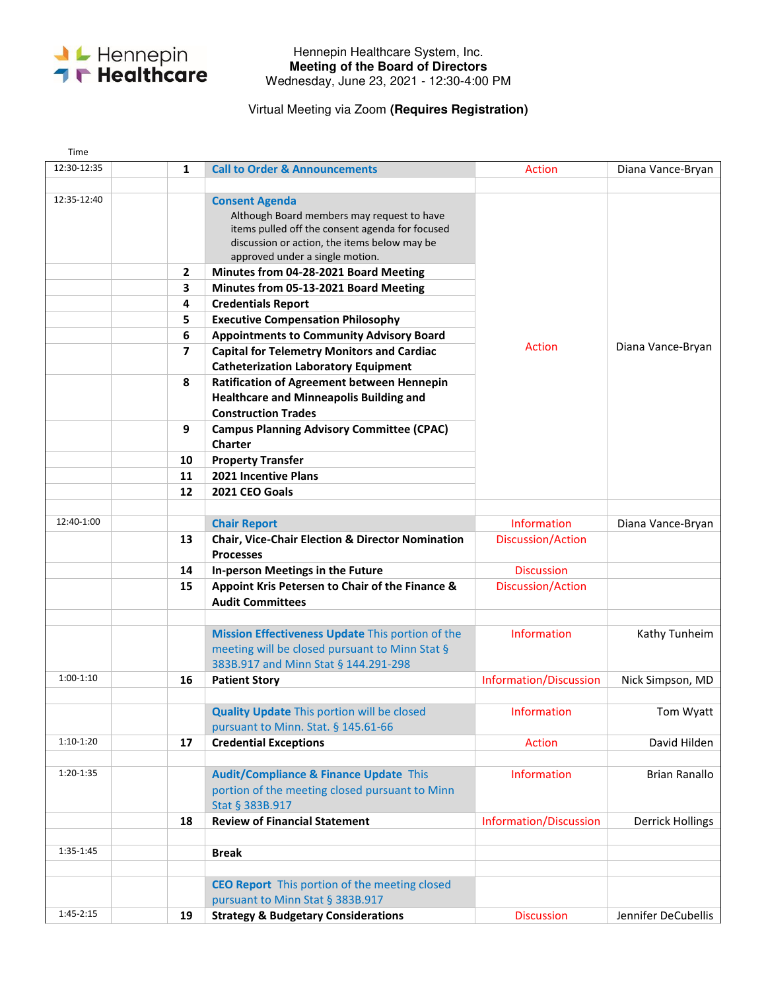

## Hennepin Healthcare System, Inc. **Meeting of the Board of Directors**  Wednesday, June 23, 2021 - 12:30-4:00 PM

## Virtual Meeting via Zoom **(Requires Registration)**

| Time        |                          |                                                                                                                                                                                                                                                                                                                                                                      |                                  |                         |
|-------------|--------------------------|----------------------------------------------------------------------------------------------------------------------------------------------------------------------------------------------------------------------------------------------------------------------------------------------------------------------------------------------------------------------|----------------------------------|-------------------------|
| 12:30-12:35 | 1                        | <b>Call to Order &amp; Announcements</b>                                                                                                                                                                                                                                                                                                                             | Action                           | Diana Vance-Bryan       |
| 12:35-12:40 | 2<br>3<br>4<br>5         | <b>Consent Agenda</b><br>Although Board members may request to have<br>items pulled off the consent agenda for focused<br>discussion or action, the items below may be<br>approved under a single motion.<br>Minutes from 04-28-2021 Board Meeting<br>Minutes from 05-13-2021 Board Meeting<br><b>Credentials Report</b><br><b>Executive Compensation Philosophy</b> |                                  |                         |
|             | 6<br>$\overline{ }$<br>8 | <b>Appointments to Community Advisory Board</b><br><b>Capital for Telemetry Monitors and Cardiac</b><br><b>Catheterization Laboratory Equipment</b><br><b>Ratification of Agreement between Hennepin</b>                                                                                                                                                             | Action                           | Diana Vance-Bryan       |
|             | 9                        | <b>Healthcare and Minneapolis Building and</b><br><b>Construction Trades</b><br><b>Campus Planning Advisory Committee (CPAC)</b>                                                                                                                                                                                                                                     |                                  |                         |
|             | 10<br>11<br>12           | <b>Charter</b><br><b>Property Transfer</b><br>2021 Incentive Plans<br>2021 CEO Goals                                                                                                                                                                                                                                                                                 |                                  |                         |
|             |                          |                                                                                                                                                                                                                                                                                                                                                                      |                                  |                         |
| 12:40-1:00  | 13                       | <b>Chair Report</b><br><b>Chair, Vice-Chair Election &amp; Director Nomination</b>                                                                                                                                                                                                                                                                                   | Information<br>Discussion/Action | Diana Vance-Bryan       |
|             | 14                       | <b>Processes</b><br>In-person Meetings in the Future                                                                                                                                                                                                                                                                                                                 | <b>Discussion</b>                |                         |
|             | 15                       | Appoint Kris Petersen to Chair of the Finance &<br><b>Audit Committees</b>                                                                                                                                                                                                                                                                                           | Discussion/Action                |                         |
|             |                          | Mission Effectiveness Update This portion of the<br>meeting will be closed pursuant to Minn Stat §<br>383B.917 and Minn Stat § 144.291-298                                                                                                                                                                                                                           | <b>Information</b>               | Kathy Tunheim           |
| $1:00-1:10$ | 16                       | <b>Patient Story</b>                                                                                                                                                                                                                                                                                                                                                 | Information/Discussion           | Nick Simpson, MD        |
|             |                          | <b>Quality Update This portion will be closed</b><br>pursuant to Minn. Stat. § 145.61-66                                                                                                                                                                                                                                                                             | Information                      | Tom Wyatt               |
| $1:10-1:20$ | 17                       | <b>Credential Exceptions</b>                                                                                                                                                                                                                                                                                                                                         | Action                           | David Hilden            |
| 1:20-1:35   |                          | <b>Audit/Compliance &amp; Finance Update This</b><br>portion of the meeting closed pursuant to Minn<br>Stat § 383B.917                                                                                                                                                                                                                                               | <b>Information</b>               | <b>Brian Ranallo</b>    |
|             | 18                       | <b>Review of Financial Statement</b>                                                                                                                                                                                                                                                                                                                                 | Information/Discussion           | <b>Derrick Hollings</b> |
| 1:35-1:45   |                          | <b>Break</b>                                                                                                                                                                                                                                                                                                                                                         |                                  |                         |
| 1:45-2:15   | 19                       | <b>CEO Report</b> This portion of the meeting closed<br>pursuant to Minn Stat § 383B.917<br><b>Strategy &amp; Budgetary Considerations</b>                                                                                                                                                                                                                           | <b>Discussion</b>                | Jennifer DeCubellis     |
|             |                          |                                                                                                                                                                                                                                                                                                                                                                      |                                  |                         |